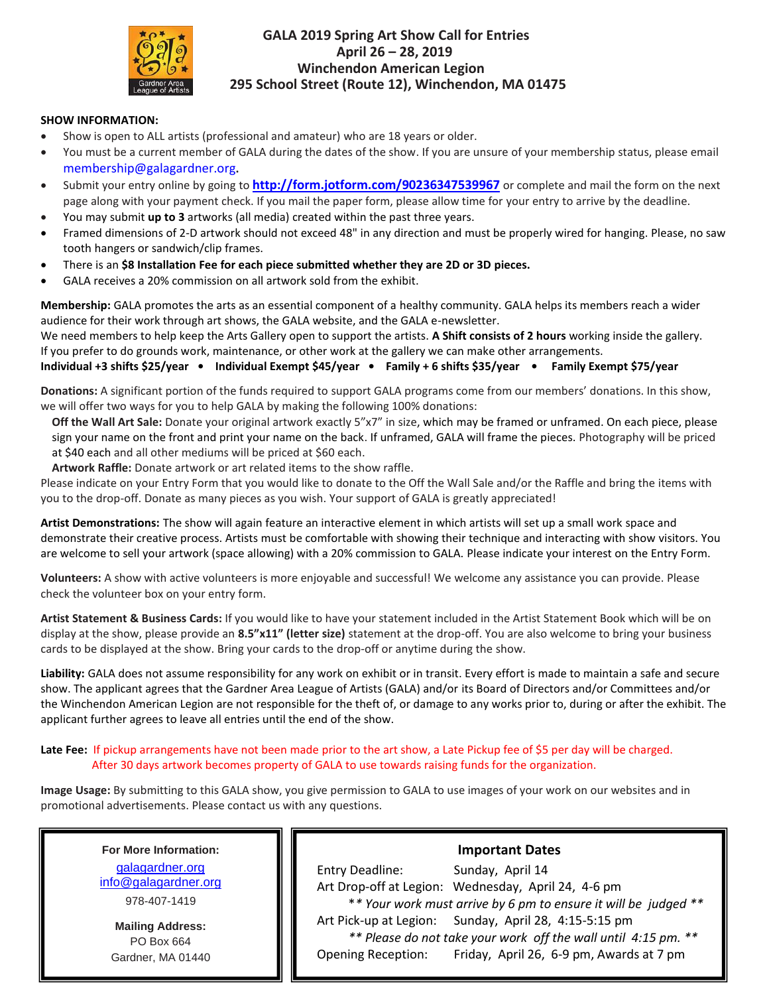

## **GALA 2019 Spring Art Show Call for Entries April 26 – 28, 2019 Winchendon American Legion 295 School Street (Route 12), Winchendon, MA 01475**

#### **SHOW INFORMATION:**

- Show is open to ALL artists (professional and amateur) who are 18 years or older.
- You must be a current member of GALA during the dates of the show. If you are unsure of your membership status, please email membership@galagardner.org**.**
- Submit your entry online by going to **<http://form.jotform.com/90236347539967>** or complete and mail the form on the next page along with your payment check. If you mail the paper form, please allow time for your entry to arrive by the deadline.
- You may submit **up to 3** artworks (all media) created within the past three years.
- Framed dimensions of 2-D artwork should not exceed 48" in any direction and must be properly wired for hanging. Please, no saw tooth hangers or sandwich/clip frames.
- There is an **\$8 Installation Fee for each piece submitted whether they are 2D or 3D pieces.**
- GALA receives a 20% commission on all artwork sold from the exhibit.

**Membership:** GALA promotes the arts as an essential component of a healthy community. GALA helps its members reach a wider audience for their work through art shows, the GALA website, and the GALA e-newsletter.

We need members to help keep the Arts Gallery open to support the artists. **A Shift consists of 2 hours** working inside the gallery. If you prefer to do grounds work, maintenance, or other work at the gallery we can make other arrangements.

**Individual +3 shifts \$25/year • Individual Exempt \$45/year • Family + 6 shifts \$35/year • Family Exempt \$75/year**

**Donations:** A significant portion of the funds required to support GALA programs come from our members' donations. In this show, we will offer two ways for you to help GALA by making the following 100% donations:

**Off the Wall Art Sale:** Donate your original artwork exactly 5"x7" in size, which may be framed or unframed. On each piece, please sign your name on the front and print your name on the back. If unframed, GALA will frame the pieces. Photography will be priced at \$40 each and all other mediums will be priced at \$60 each.

**Artwork Raffle:** Donate artwork or art related items to the show raffle.

Please indicate on your Entry Form that you would like to donate to the Off the Wall Sale and/or the Raffle and bring the items with you to the drop-off. Donate as many pieces as you wish. Your support of GALA is greatly appreciated!

**Artist Demonstrations:** The show will again feature an interactive element in which artists will set up a small work space and demonstrate their creative process. Artists must be comfortable with showing their technique and interacting with show visitors. You are welcome to sell your artwork (space allowing) with a 20% commission to GALA. Please indicate your interest on the Entry Form.

**Volunteers:** A show with active volunteers is more enjoyable and successful! We welcome any assistance you can provide. Please check the volunteer box on your entry form.

**Artist Statement & Business Cards:** If you would like to have your statement included in the Artist Statement Book which will be on display at the show, please provide an **8.5"x11" (letter size)** statement at the drop-off. You are also welcome to bring your business cards to be displayed at the show. Bring your cards to the drop-off or anytime during the show.

**Liability:** GALA does not assume responsibility for any work on exhibit or in transit. Every effort is made to maintain a safe and secure show. The applicant agrees that the Gardner Area League of Artists (GALA) and/or its Board of Directors and/or Committees and/or the Winchendon American Legion are not responsible for the theft of, or damage to any works prior to, during or after the exhibit. The applicant further agrees to leave all entries until the end of the show.

#### **Late Fee:** If pickup arrangements have not been made prior to the art show, a Late Pickup fee of \$5 per day will be charged. After 30 days artwork becomes property of GALA to use towards raising funds for the organization.

**Image Usage:** By submitting to this GALA show, you give permission to GALA to use images of your work on our websites and in promotional advertisements. Please contact us with any questions.

**For More Information:** [galagardner.org](http://galagardnerevents.weebly.com/) [info@galagardner.org](mailto:info@galagardner.org) 978-407-1419

**Mailing Address:** PO Box 664 Gardner, MA 01440

## **Important Dates**

Entry Deadline: Sunday, April 14 Art Drop-off at Legion: Wednesday, April 24, 4-6 pm \**\* Your work must arrive by 6 pm to ensure it will be judged \*\** Art Pick-up at Legion: Sunday, April 28, 4:15-5:15 pm  *\*\* Please do not take your work off the wall until 4:15 pm. \*\** Opening Reception: Friday, April 26, 6-9 pm, Awards at 7 pm